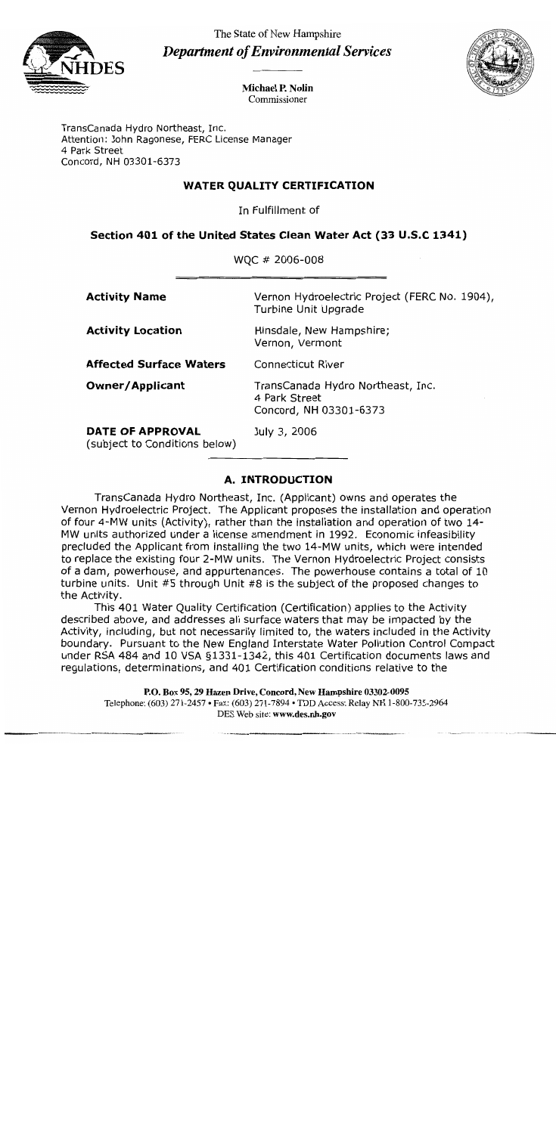

The State of New Hampshire **Department of Environmental Services** 



**Michael P. Nolin** Commissioner

TransCanada Hydro Northeast, Inc. Attention: John Ragonese, FERC License Manager 4 Park Street Concord, NH 03301-6373

## **WATER QUALITY CERTIFICATION**

In Fulfillment of

## Section 401 of the United States Clean Water Act (33 U.S.C 1341)

 $MOC + 2006,009$ 

| $\mathbf{W} \cup \mathbf{C}$ $\pi$ zuuu-uuu       |                                                                              |
|---------------------------------------------------|------------------------------------------------------------------------------|
| <b>Activity Name</b>                              | Vernon Hydroelectric Project (FERC No. 1904),<br>Turbine Unit Upgrade        |
| <b>Activity Location</b>                          | Hinsdale, New Hampshire;<br>Vernon, Vermont                                  |
| <b>Affected Surface Waters</b>                    | <b>Connecticut River</b>                                                     |
| <b>Owner/Applicant</b>                            | TransCanada Hydro Northeast, Inc.<br>4 Park Street<br>Concord, NH 03301-6373 |
| DATE OF APPROVAL<br>(subject to Conditions below) | July 3, 2006                                                                 |

# **A. INTRODUCTION**

TransCanada Hydro Northeast, Inc. (Applicant) owns and operates the Vernon Hydroelectric Project. The Applicant proposes the installation and operation of four 4-MW units (Activity), rather than the installation and operation of two 14-MW units authorized under a license amendment in 1992. Economic infeasibility precluded the Applicant from installing the two 14-MW units, which were intended to replace the existing four 2-MW units. The Vernon Hydroelectric Project consists of a dam, powerhouse, and appurtenances. The powerhouse contains a total of 10 turbine units. Unit #5 through Unit #8 is the subject of the proposed changes to the Activity.

This 401 Water Quality Certification (Certification) applies to the Activity described above, and addresses all surface waters that may be impacted by the Activity, including, but not necessarily limited to, the waters included in the Activity boundary. Pursuant to the New England Interstate Water Pollution Control Compact under RSA 484 and 10 VSA §1331-1342, this 401 Certification documents laws and regulations, determinations, and 401 Certification conditions relative to the

P.O. Box 95, 29 Hazen Drive, Concord, New Hampshire 03302-0095 Telephone: (603) 271-2457 • Fax: (603) 271-7894 • TDD Access: Relay NH 1-800-735-2964 DES Web site: www.des.nh.gov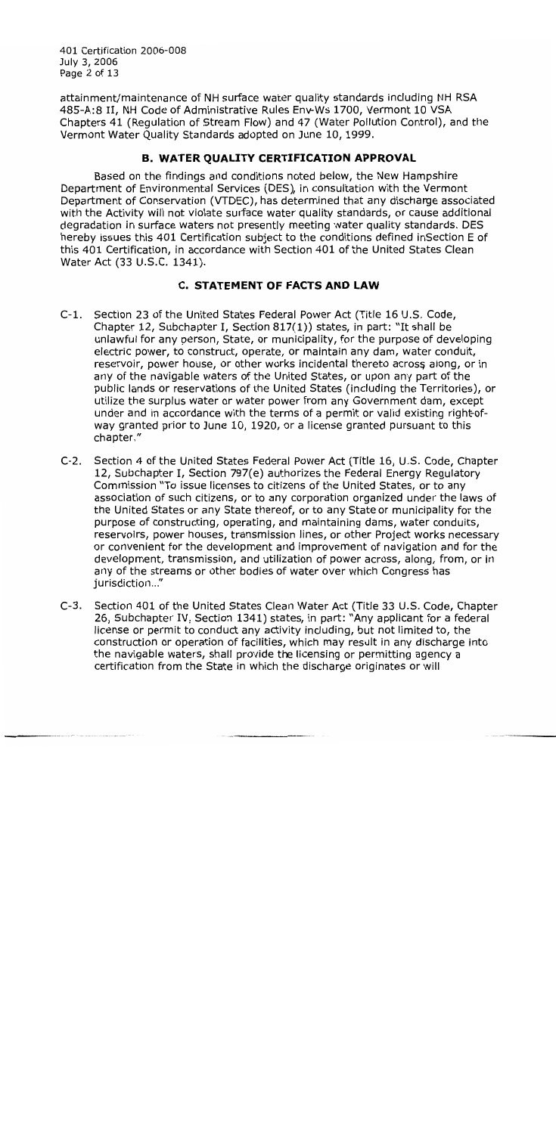401 Certification 2006-008 July 3, 2006 Page 2 of 13

attainment/maintenance of NH surface water quality standards including NH RSA 485-A:8 II, NH Code of Administrative Rules Env-Ws 1700, Vermont 10 VSA Chapters 41 (Regulation of Stream Flow) and 47 (Water Pollution Control), and the Vermont Water Quality Standards adopted on June 10, 1999.

# **B. WATER OUALITY CERTIFICATION APPROVAL**

Based on the findings and conditions noted below, the New Hampshire Department of Environmental Services (DES), in consultation with the Vermont Department of Conservation (VTDEC), has determined that any discharge associated with the Activity will not violate surface water quality standards, or cause additional degradation in surface waters not presently meeting water quality standards. DES hereby issues this 401 Certification subject to the conditions defined inSection E of this 401 Certification, in accordance with Section 401 of the United States Clean Water Act (33 U.S.C. 1341).

## **C. STATEMENT OF FACTS AND LAW**

- Section 23 of the United States Federal Power Act (Title 16 U.S. Code,  $C-1$ . Chapter 12, Subchapter I, Section 817(1)) states, in part: "It shall be unlawful for any person, State, or municipality, for the purpose of developing electric power, to construct, operate, or maintain any dam, water conduit, reservoir, power house, or other works incidental thereto across along, or in any of the navigable waters of the United States, or upon any part of the public lands or reservations of the United States (including the Territories), or utilize the surplus water or water power from any Government dam, except under and in accordance with the terms of a permit or valid existing right-ofway granted prior to June 10, 1920, or a license granted pursuant to this chapter."
- $C-2$ . Section 4 of the United States Federal Power Act (Title 16, U.S. Code, Chapter 12, Subchapter I, Section 797(e) authorizes the Federal Energy Regulatory Commission "To issue licenses to citizens of the United States, or to any association of such citizens, or to any corporation organized under the laws of the United States or any State thereof, or to any State or municipality for the purpose of constructing, operating, and maintaining dams, water conduits, reservoirs, power houses, transmission lines, or other Project works necessary or convenient for the development and improvement of navigation and for the development, transmission, and utilization of power across, along, from, or in any of the streams or other bodies of water over which Congress has jurisdiction..."
- Section 401 of the United States Clean Water Act (Title 33 U.S. Code, Chapter  $C-3.$ 26, Subchapter IV, Section 1341) states, in part: "Any applicant for a federal license or permit to conduct any activity including, but not limited to, the construction or operation of facilities, which may result in any discharge into the navigable waters, shall provide the licensing or permitting agency a certification from the State in which the discharge originates or will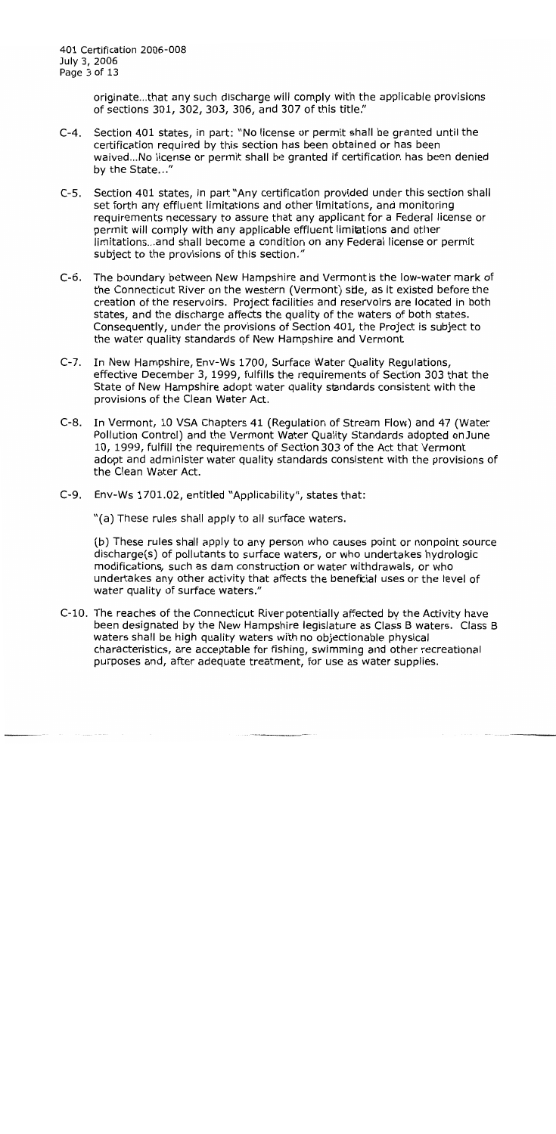401 Certification 2006-008 July 3, 2006 Page 3 of 13

> originate...that any such discharge will comply with the applicable provisions of sections 301, 302, 303, 306, and 307 of this title."

- $C-4$ . Section 401 states, in part: "No license or permit shall be granted until the certification required by this section has been obtained or has been waived...No license or permit shall be granted if certification has been denied by the State..."
- Section 401 states, in part "Any certification provided under this section shall  $C-5$ . set forth any effluent limitations and other limitations, and monitoring requirements necessary to assure that any applicant for a Federal license or permit will comply with any applicable effluent limitations and other limitations...and shall become a condition on any Federal license or permit subject to the provisions of this section."
- C-6. The boundary between New Hampshire and Vermont is the low-water mark of the Connecticut River on the western (Vermont) sile, as it existed before the creation of the reservoirs. Project facilities and reservoirs are located in both states, and the discharge affects the quality of the waters of both states. Consequently, under the provisions of Section 401, the Project is subject to the water quality standards of New Hampshire and Vermont
- In New Hampshire, Env-Ws 1700, Surface Water Quality Regulations,  $C-7.$ effective December 3, 1999, fulfills the requirements of Section 303 that the State of New Hampshire adopt water quality standards consistent with the provisions of the Clean Water Act.
- $C-8.$ In Vermont, 10 VSA Chapters 41 (Requiation of Stream Flow) and 47 (Water Pollution Control) and the Vermont Water Quality Standards adopted on June 10, 1999, fulfill the requirements of Section 303 of the Act that Vermont adopt and administer water quality standards consistent with the provisions of the Clean Water Act.
- C-9. Env-Ws 1701.02, entitled "Applicability", states that:

"(a) These rules shall apply to all surface waters.

(b) These rules shall apply to any person who causes point or nonpoint source discharge(s) of pollutants to surface waters, or who undertakes hydrologic modifications, such as dam construction or water withdrawals, or who undertakes any other activity that affects the beneficial uses or the level of water quality of surface waters."

C-10. The reaches of the Connecticut River potentially affected by the Activity have been designated by the New Hampshire legislature as Class B waters. Class B waters shall be high quality waters with no objectionable physical characteristics, are acceptable for fishing, swimming and other recreational purposes and, after adequate treatment, for use as water supplies.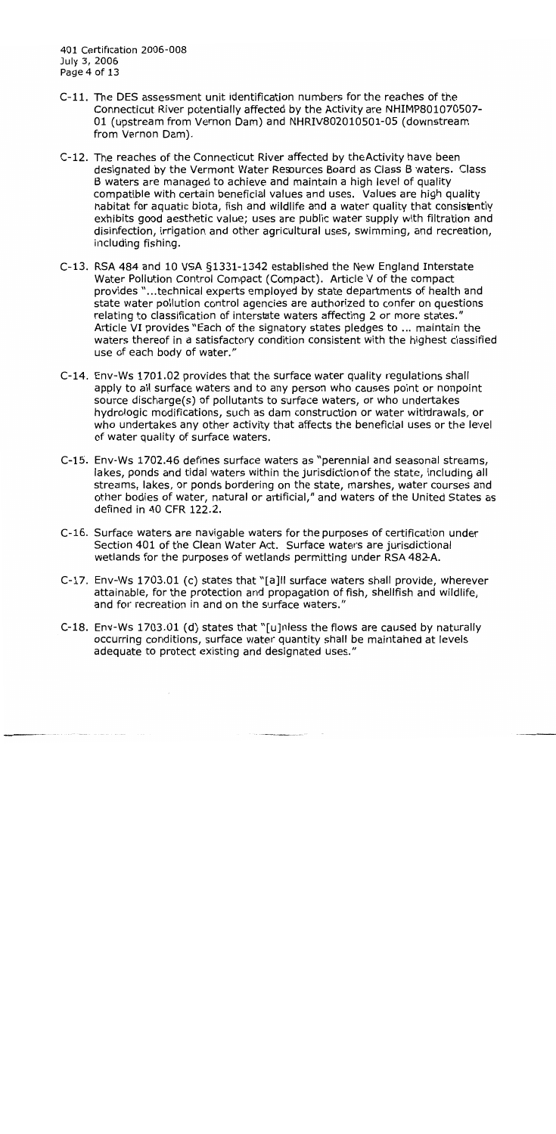- C-11. The DES assessment unit identification numbers for the reaches of the Connecticut River potentially affected by the Activity are NHIMP801070507-01 (upstream from Vernon Dam) and NHRIV802010501-05 (downstream from Vernon Dam).
- C-12. The reaches of the Connecticut River affected by the Activity have been designated by the Vermont Water Resources Board as Class B waters. Class B waters are managed to achieve and maintain a high level of quality compatible with certain beneficial values and uses. Values are high quality habitat for aquatic biota, fish and wildlife and a water quality that consistently exhibits good aesthetic value; uses are public water supply with filtration and disinfection, irrigation and other agricultural uses, swimming, and recreation, including fishing.
- C-13. RSA 484 and 10 VSA §1331-1342 established the New England Interstate Water Pollution Control Compact (Compact). Article V of the compact provides "...technical experts employed by state departments of health and state water pollution control agencies are authorized to confer on questions relating to classification of interstate waters affecting 2 or more states." Article VI provides "Each of the signatory states pledges to ... maintain the waters thereof in a satisfactory condition consistent with the highest classified use of each body of water."
- C-14. Env-Ws 1701.02 provides that the surface water quality regulations shall apply to all surface waters and to any person who causes point or nonpoint source discharge(s) of pollutants to surface waters, or who undertakes hydrologic modifications, such as dam construction or water withdrawals, or who undertakes any other activity that affects the beneficial uses or the level of water quality of surface waters.
- C-15. Env-Ws 1702.46 defines surface waters as "perennial and seasonal streams, lakes, ponds and tidal waters within the jurisdiction of the state, including all streams, lakes, or ponds bordering on the state, marshes, water courses and other bodies of water, natural or artificial," and waters of the United States as defined in 40 CFR 122.2.
- C-16. Surface waters are navigable waters for the purposes of certification under Section 401 of the Clean Water Act. Surface waters are jurisdictional wetlands for the purposes of wetlands permitting under RSA 482-A.
- C-17. Env-Ws 1703.01 (c) states that "[a]II surface waters shall provide, wherever attainable, for the protection and propagation of fish, shellfish and wildlife, and for recreation in and on the surface waters."
- C-18. Env-Ws 1703.01 (d) states that "[u]nless the flows are caused by naturally occurring conditions, surface water quantity shall be maintaned at levels adequate to protect existing and designated uses."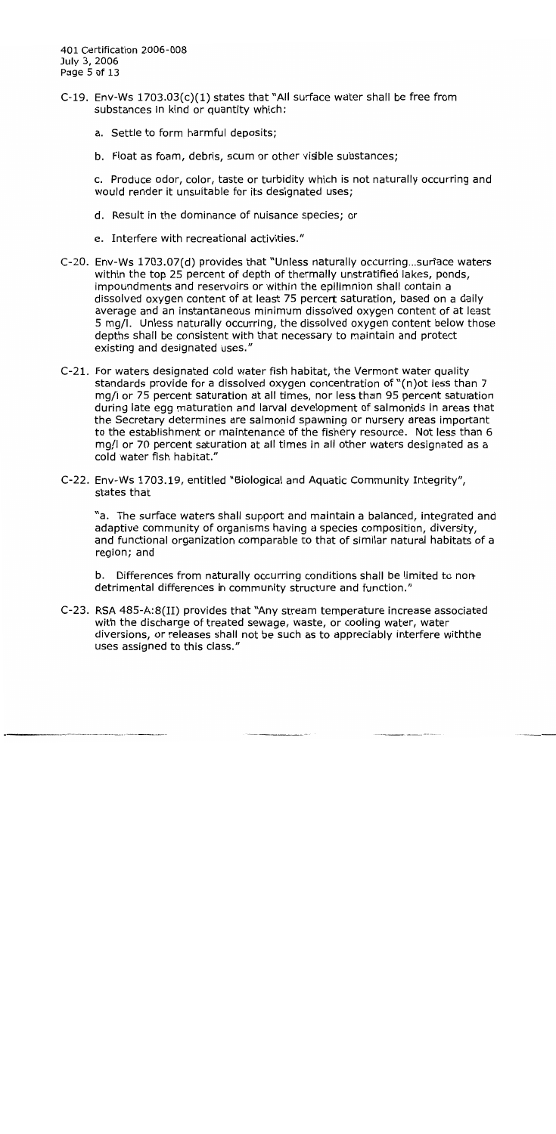401 Certification 2006-008 July 3, 2006 Page 5 of 13

- C-19. Env-Ws 1703.03(c)(1) states that "All surface water shall be free from substances in kind or quantity which:
	- a. Settle to form harmful deposits;
	- b. Float as foam, debris, scum or other visible substances;

c. Produce odor, color, taste or turbidity which is not naturally occurring and would render it unsuitable for its designated uses;

- d. Result in the dominance of nuisance species; or
- e. Interfere with recreational activities."
- C-20. Env-Ws 1703.07(d) provides that "Unless naturally occurring...surface waters within the top 25 percent of depth of thermally unstratified lakes, ponds, impoundments and reservoirs or within the epilimnion shall contain a dissolved oxygen content of at least 75 percert saturation, based on a daily average and an instantaneous minimum dissolved oxygen content of at least 5 mg/l. Unless naturally occurring, the dissolved oxygen content below those depths shall be consistent with that necessary to maintain and protect existing and designated uses."
- C-21. For waters designated cold water fish habitat, the Vermont water quality standards provide for a dissolved oxygen concentration of "(n) ot less than 7 mg/l or 75 percent saturation at all times, nor less than 95 percent saturation during late egg maturation and larval development of salmonids in areas that the Secretary determines are salmonid spawning or nursery areas important to the establishment or maintenance of the fishery resource. Not less than 6 mg/l or 70 percent saturation at all times in all other waters designated as a cold water fish habitat."
- C-22. Env-Ws 1703.19, entitled "Biological and Aquatic Community Integrity", states that

"a. The surface waters shall support and maintain a balanced, integrated and adaptive community of organisms having a species composition, diversity, and functional organization comparable to that of similar natural habitats of a region; and

b. Differences from naturally occurring conditions shall be limited to nondetrimental differences in community structure and function."

C-23. RSA 485-A:8(II) provides that "Any stream temperature increase associated with the discharge of treated sewage, waste, or cooling water, water diversions, or releases shall not be such as to appreciably interfere with the uses assigned to this class."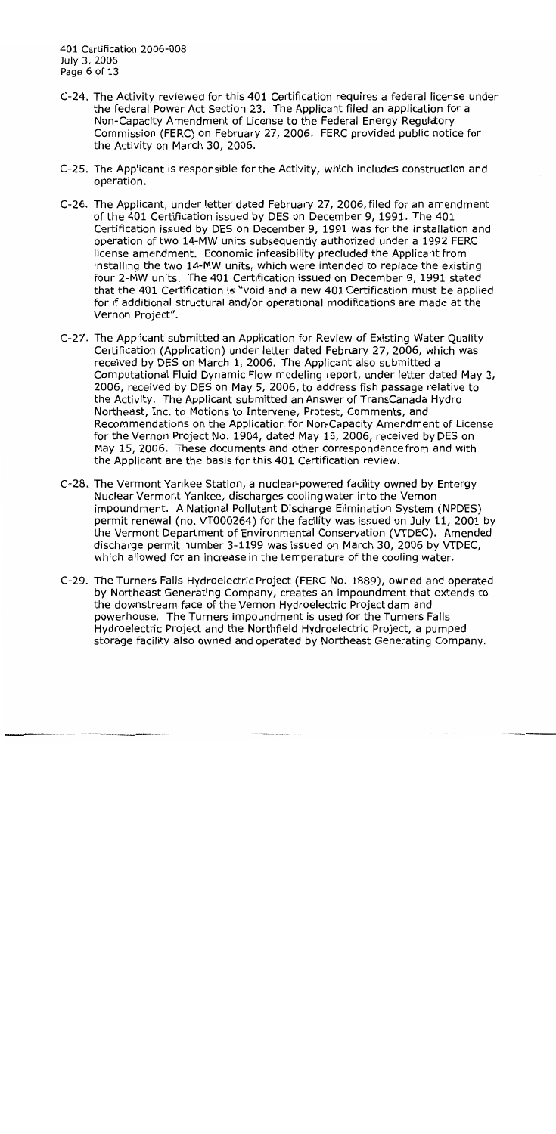- C-24. The Activity reviewed for this 401 Certification requires a federal license under the federal Power Act Section 23. The Applicant filed an application for a Non-Capacity Amendment of License to the Federal Energy Regulatory Commission (FERC) on February 27, 2006. FERC provided public notice for the Activity on March 30, 2006.
- C-25. The Applicant is responsible for the Activity, which includes construction and operation.
- C-26. The Applicant, under letter dated February 27, 2006, filed for an amendment of the 401 Certification issued by DES on December 9, 1991. The 401 Certification issued by DES on December 9, 1991 was for the installation and operation of two 14-MW units subsequently authorized under a 1992 FERC license amendment. Economic infeasibility precluded the Applicant from installing the two 14-MW units, which were intended to replace the existing four 2-MW units. The 401 Certification issued on December 9, 1991 stated that the 401 Certification is "void and a new 401 Certification must be applied for if additional structural and/or operational modifications are made at the Vernon Project".
- C-27. The Applicant submitted an Application for Review of Existing Water Quality Certification (Application) under letter dated February 27, 2006, which was received by DES on March 1, 2006. The Applicant also submitted a Computational Fluid Dynamic Flow modeling report, under letter dated May 3, 2006, received by DES on May 5, 2006, to address fish passage relative to the Activity. The Applicant submitted an Answer of TransCanada Hydro Northeast, Inc. to Motions to Intervene, Protest, Comments, and Recommendations on the Application for Non-Capacity Amendment of License for the Vernon Project No. 1904, dated May 15, 2006, received by DES on May 15, 2006. These documents and other correspondence from and with the Applicant are the basis for this 401 Certification review.
- C-28. The Vermont Yankee Station, a nuclear-powered facility owned by Entergy Nuclear Vermont Yankee, discharges cooling water into the Vernon impoundment. A National Pollutant Discharge Elimination System (NPDES) permit renewal (no. VT000264) for the facility was issued on July 11, 2001 by the Vermont Department of Environmental Conservation (VTDEC). Amended discharge permit number 3-1199 was issued on March 30, 2006 by VTDEC, which allowed for an increase in the temperature of the cooling water.
- C-29. The Turners Falls Hydroelectric Project (FERC No. 1889), owned and operated by Northeast Generating Company, creates an impoundment that extends to the downstream face of the Vernon Hydroelectric Project dam and powerhouse. The Turners impoundment is used for the Turners Falls Hydroelectric Project and the Northfield Hydroelectric Project, a pumped storage facility also owned and operated by Northeast Generating Company.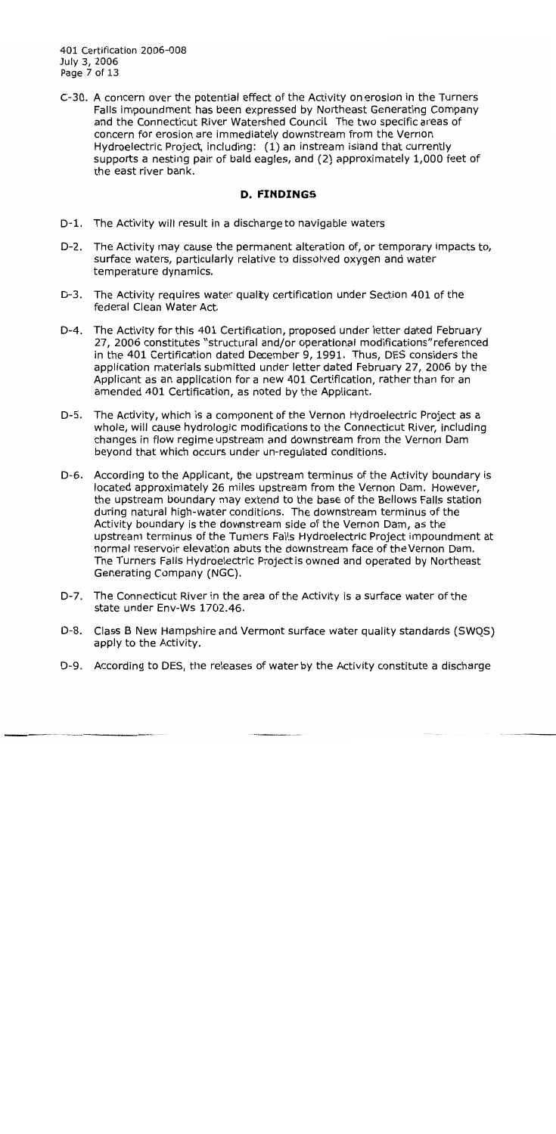401 Certification 2006-008 July 3, 2006 Page 7 of 13

C-30. A concern over the potential effect of the Activity on erosion in the Turners Falls impoundment has been expressed by Northeast Generating Company and the Connecticut River Watershed Council The two specific areas of concern for erosion are immediately downstream from the Vernon Hydroelectric Project, including: (1) an instream island that currently supports a nesting pair of bald eagles, and (2) approximately 1,000 feet of the east river bank.

#### **D. FINDINGS**

- D-1. The Activity will result in a discharge to navigable waters
- D-2. The Activity may cause the permanent alteration of, or temporary impacts to, surface waters, particularly relative to dissolved oxygen and water temperature dynamics.
- $D-3.$ The Activity requires water quality certification under Section 401 of the federal Clean Water Act.
- D-4. The Activity for this 401 Certification, proposed under letter dated February 27, 2006 constitutes "structural and/or operational modifications" referenced in the 401 Certification dated December 9, 1991. Thus, DES considers the application materials submitted under letter dated February 27, 2006 by the Applicant as an application for a new 401 Certification, rather than for an amended 401 Certification, as noted by the Applicant.
- D-5. The Activity, which is a component of the Vernon Hydroelectric Project as a whole, will cause hydrologic modifications to the Connecticut River, including changes in flow regime upstream and downstream from the Vernon Dam beyond that which occurs under un-regulated conditions.
- According to the Applicant, the upstream terminus of the Activity boundary is D-6. located approximately 26 miles upstream from the Vernon Dam. However, the upstream boundary may extend to the base of the Bellows Falls station during natural high-water conditions. The downstream terminus of the Activity boundary is the downstream side of the Vernon Dam, as the upstream terminus of the Turners Falls Hydroelectric Project impoundment at normal reservoir elevation abuts the downstream face of the Vernon Dam. The Turners Falls Hydroelectric Project is owned and operated by Northeast Generating Company (NGC).
- D-7. The Connecticut River in the area of the Activity is a surface water of the state under Env-Ws 1702.46.
- D-8. Class B New Hampshire and Vermont surface water quality standards (SWQS) apply to the Activity.
- D-9. According to DES, the releases of water by the Activity constitute a discharge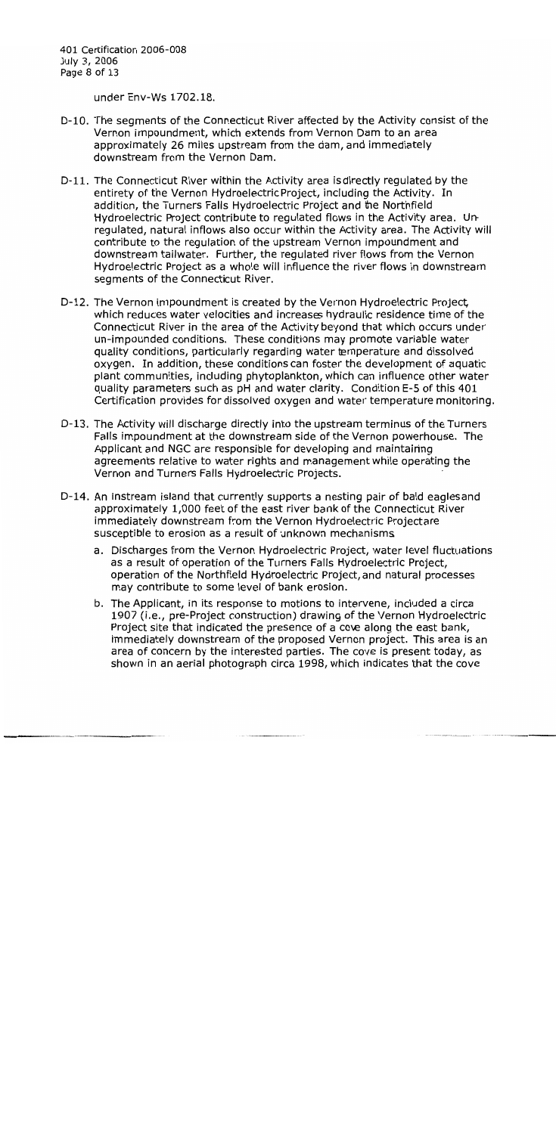401 Certification 2006-008 July 3, 2006 Page 8 of 13

under Env-Ws 1702.18.

- D-10. The segments of the Connecticut River affected by the Activity consist of the Vernon impoundment, which extends from Vernon Dam to an area approximately 26 miles upstream from the dam, and immediately downstream from the Vernon Dam.
- D-11. The Connecticut River within the Activity area is directly requiated by the entirety of the Vernon Hydroelectric Project, including the Activity. In addition, the Turners Falls Hydroelectric Project and the Northfield Hydroelectric Project contribute to regulated flows in the Activity area. Unregulated, natural inflows also occur within the Activity area. The Activity will contribute to the requlation of the upstream Vernon impoundment and downstream tailwater. Further, the regulated river flows from the Vernon Hydroelectric Project as a whole will influence the river flows in downstream segments of the Connecticut River.
- D-12. The Vernon impoundment is created by the Vernon Hydroelectric Project. which reduces water velocities and increases hydraulic residence time of the Connecticut River in the area of the Activity beyond that which occurs under un-impounded conditions. These conditions may promote variable water quality conditions, particularly regarding water temperature and dissolved oxygen. In addition, these conditions can foster the development of aquatic plant communities, including phytoplankton, which can influence other water quality parameters such as pH and water clarity. Condition E-5 of this 401 Certification provides for dissolved oxygen and water temperature monitoring.
- D-13. The Activity will discharge directly into the upstream terminus of the Turners Falls impoundment at the downstream side of the Vernon powerhouse. The Applicant and NGC are responsible for developing and maintaining agreements relative to water rights and management while operating the Vernon and Turners Falls Hydroelectric Projects.
- D-14. An instream island that currently supports a nesting pair of bald eagles and approximately 1,000 feet of the east river bank of the Connecticut River immediately downstream from the Vernon Hydroelectric Projectare susceptible to erosion as a result of unknown mechanisms
	- a. Discharges from the Vernon Hydroelectric Project, water level fluctuations as a result of operation of the Turners Falls Hydroelectric Project, operation of the Northfield Hydroelectric Project, and natural processes may contribute to some level of bank erosion.
	- b. The Applicant, in its response to motions to intervene, included a circa 1907 (i.e., pre-Project construction) drawing of the Vernon Hydroelectric Project site that indicated the presence of a cove along the east bank, immediately downstream of the proposed Vernon project. This area is an area of concern by the interested parties. The cove is present today, as shown in an aerial photograph circa 1998, which indicates that the cove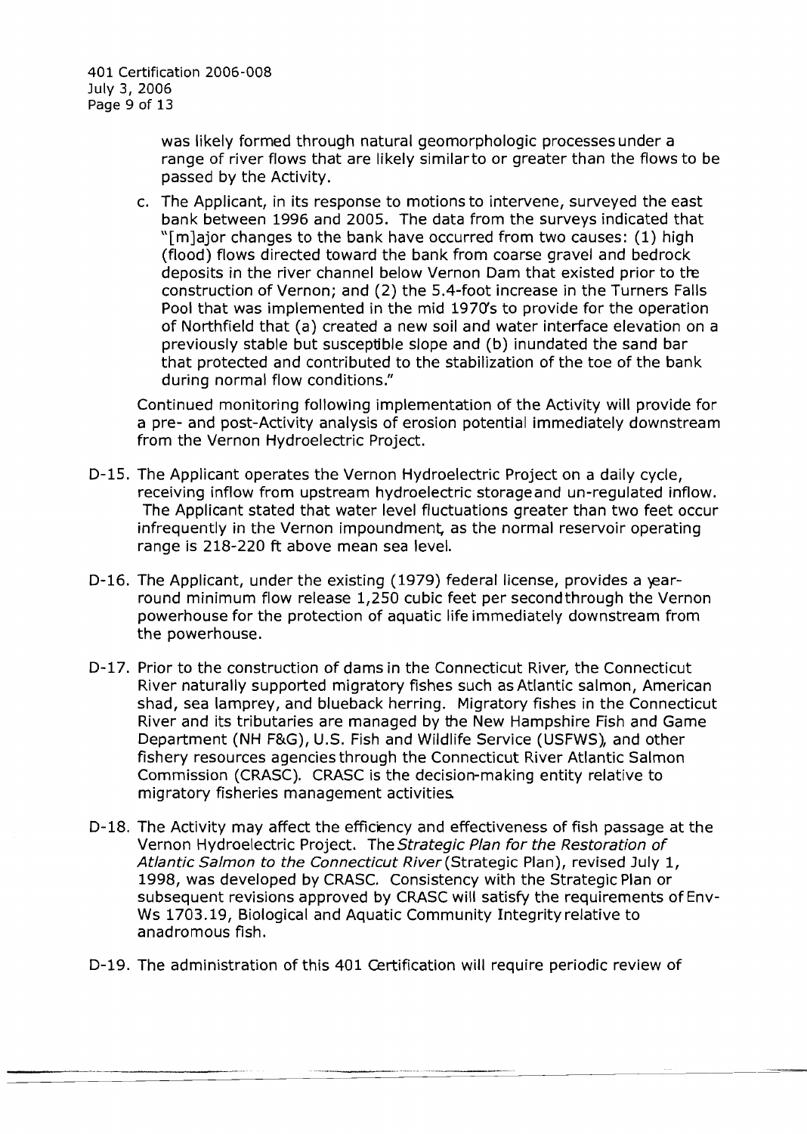-------\_.-

was likely formed through natural geomorphologic processes under a range of river flows that are likely similarto or greater than the flows to be passed by the Activity.

c. The Applicant, in its response to motions to intervene, surveyed the east bank between 1996 and 2005. The data from the surveys indicated that "[m]ajor changes to the bank have occurred from two causes: (1) high (flood) flows directed toward the bank from coarse gravel and bedrock deposits in the river channel below Vernon Dam that existed prior to tre construction of Vernon; and (2) the SA-foot increase in the Turners Falls Pool that was implemented in the mid *1970's* to provide for the operation of Northfield that (a) created a new soil and water interface elevation on a previously stable but susceptible slope and (b) inundated the sand bar that protected and contributed to the stabilization of the toe of the bank during normal flow conditions."

Continued monitoring following implementation of the Activity will provide for a pre- and post-Activity analysis of erosion potential immediately downstream from the Vernon Hydroelectric Project.

- D-15. The Applicant operates the Vernon Hydroelectric Project on a daily cycle, receiving inflow from upstream hydroelectric storage and un-regulated inflow. The Applicant stated that water level fluctuations greater than two feet occur infrequently in the Vernon impoundment, as the normal reservoir operating range is 218-220 ft above mean sea level.
- D-16. The Applicant, under the existing (1979) federal license, provides a yearround minimum flow release 1,250 cubic feet per second through the Vernon powerhouse for the protection of aquatic life immediately downstream from the powerhouse.
- D-17. Prior to the construction of dams in the Connecticut River, the Connecticut River naturally supported migratory fishes such as Atlantic salmon, American shad, sea lamprey, and blueback herring. Migratory fishes in the Connecticut River and its tributaries are managed by the New Hampshire Fish and Game Department (NH F&G), U.S. Fish and Wildlife Service (USFWS), and other fishery resources agencies through the Connecticut River Atlantic Salmon Commission (CRASC). CRASC is the decision-making entity relative to migratory fisheries management activities.
- D-18. The Activity may affect the efficiency and effectiveness of fish passage at the Vernon Hydroelectric Project. The Strategic Plan for the Restoration of Atlantic Salmon to the Connecticut River (Strategic Plan), revised July 1, 1998, was developed by CRASC. Consistency with the Strategic Plan or subsequent revisions approved by CRASC will satisfy the requirements of Env-Ws 1703.19, Biological and Aquatic Community Integrity relative to anadromous fish.
- D-19. The administration of this 401 certification will require periodic review of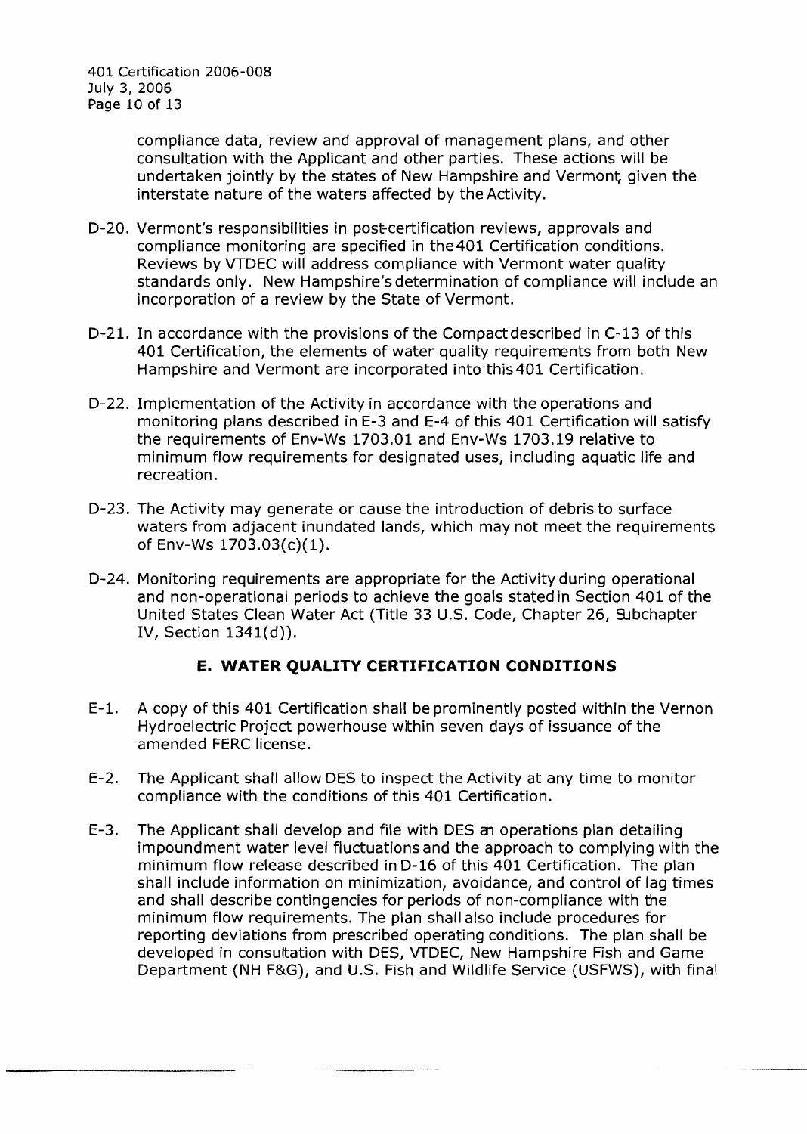compliance data, review and approval of management plans, and other consultation with the Applicant and other parties. These actions will be undertaken jointly by the states of New Hampshire and Vermont given the interstate nature of the waters affected by the Activity.

- D-20. Vermont's responsibilities in post-certification reviews, approvals and compliance monitoring are specified in the401 Certification conditions. Reviews by VTDEC will address compliance with Vermont water quality standards only. New Hampshire's determination of compliance will include an incorporation of a review by the State of Vermont.
- D-21. In accordance with the provisions of the Compact described in C-13 of this 401 Certification, the elements of water quality requirements from both New Hampshire and Vermont are incorporated into this401 Certification.
- D-22. Implementation of the Activity in accordance with the operations and monitoring plans described in E-3 and E-4 of this 401 Certification will satisfy the requirements of Env-Ws 1703.01 and Env-Ws 1703.19 relative to minimum flow requirements for designated uses, including aquatic life and recreation.
- D-23. The Activity may generate or cause the introduction of debris to surface waters from adjacent inundated lands, which may not meet the requirements of Env-Ws 1703.03(c)(1).
- D-24. Monitoring requirements are appropriate for the Activity during operational and non-operational periods to achieve the goals stated in Section 401 of the United States Clean Water Act (Title 33 U.S. Code, Chapter 26, Subchapter IV, Section 1341(d)).

#### **E. WATER QUALITY CERTIFICATION CONDITIONS**

- E-l. A copy of this 401 Certification shall be prominently posted within the Vernon Hydroelectric Project powerhouse within seven days of issuance of the amended FERC license.
- E-2. The Applicant shall allow DES to inspect the Activity at any time to monitor compliance with the conditions of this 401 Certification.
- E-3. The Applicant shall develop and file with DES an operations plan detailing impoundment water level fluctuations and the approach to complying with the minimum flow release described in D-16 of this 401 Certification. The plan shall include information on minimization, avoidance, and control of lag times and shall describe contingencies for periods of non-compliance with the minimum flow requirements. The plan shall also include procedures for reporting deviations from prescribed operating conditions. The plan shall be developed in consultation with DES, VTDEC, New Hampshire Fish and Game Department (NH F&G), and U.S. Fish and Wildlife Service (USFWS), with final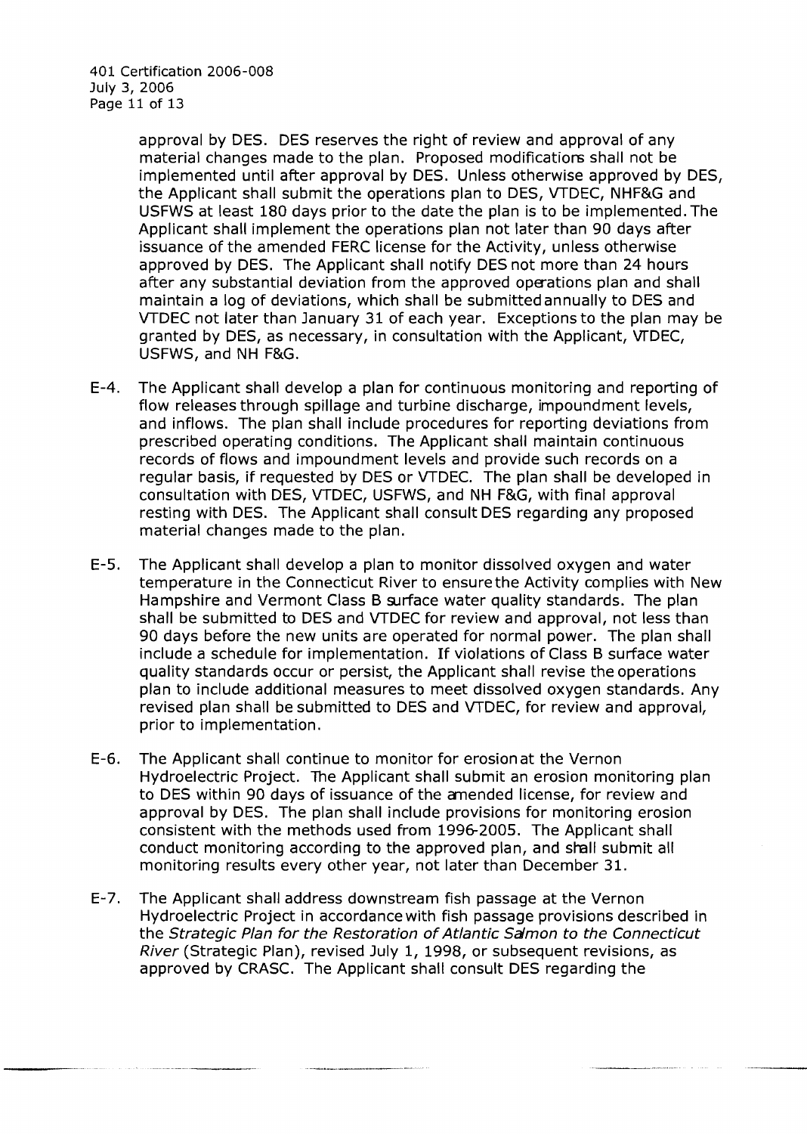approval by DES. DES reserves the right of review and approval of any material changes made to the plan. Proposed modifications shall not be implemented until after approval by DES. Unless otherwise approved by DES, the Applicant shall submit the operations plan to DES, VTDEC, NHF&G and USFWS at least 180 days prior to the date the plan is to be implemented. The Applicant shall implement the operations plan not later than 90 days after issuance of the amended FERC license for the Actlvity, unless otherwise approved by DES. The Applicant shall notify DES not more than 24 hours after any substantial deviation from the approved operations plan and shall maintain a log of deviations, which shall be submitted annually to DES and VTDEC not later than January 31 of each year. Exceptions to the plan may be granted by DES, as necessary, in consultation with the Applicant, vrDEC, USFWS, and NH F&G.

- E-4. The Applicant shall develop a plan for continuous monitoring and reporting of flow releases through spillage and turbine discharge, impoundment levels, and inflows. The plan shall include procedures for reporting deviations from prescribed operating conditions. The Applicant shall maintain continuous records of flows and impoundment levels and provide such records on a regular basis, if requested by DES or VTDEC. The plan shall be developed in consultation with DES, VTDEC, USFWS, and NH F&G, with final approval resting with DES. The Applicant shall consult DES regarding any proposed material changes made to the plan.
- E-5. The Applicant shall develop a plan to monitor dissolved oxygen and water temperature in the Connecticut River to ensure the Activity complies with New Hampshire and Vermont Class B surface water quality standards. The plan shall be submitted to DES and VTDEC for review and approval, not less than 90 days before the new units are operated for normal power. The plan shall include a schedule for implementation. If violations of Class B surface water quality standards occur or persist, the Applicant shall revise the operations plan to include additional measures to meet dissolved oxygen standards. Any revised plan shall be submitted to DES and VTDEC, for review and approval, prior to implementation.
- E-6. The Applicant shall continue to monitor for erosion at the Vernon Hydroelectric Project. The Applicant shall submit an erosion monitoring plan to DES within 90 days of issuance of the emended license, for review and approval by DES. The plan shall include provisions for monitoring erosion consistent with the methods used from 1996-2005. The Applicant shall conduct monitoring according to the approved plan, and shall submit all monitoring results every other year, not later than December 31.
- E-7. The Applicant shall address downstream fish passage at the Vernon Hydroelectric Project in accordance with fish passage provisions described in the Strategic Plan for the Restoration of Atlantic Salmon to the Connecticut River (Strategic Plan), revised July 1, 1998, or subsequent revisions, as approved by CRASC. The Applicant shall consult DES regarding the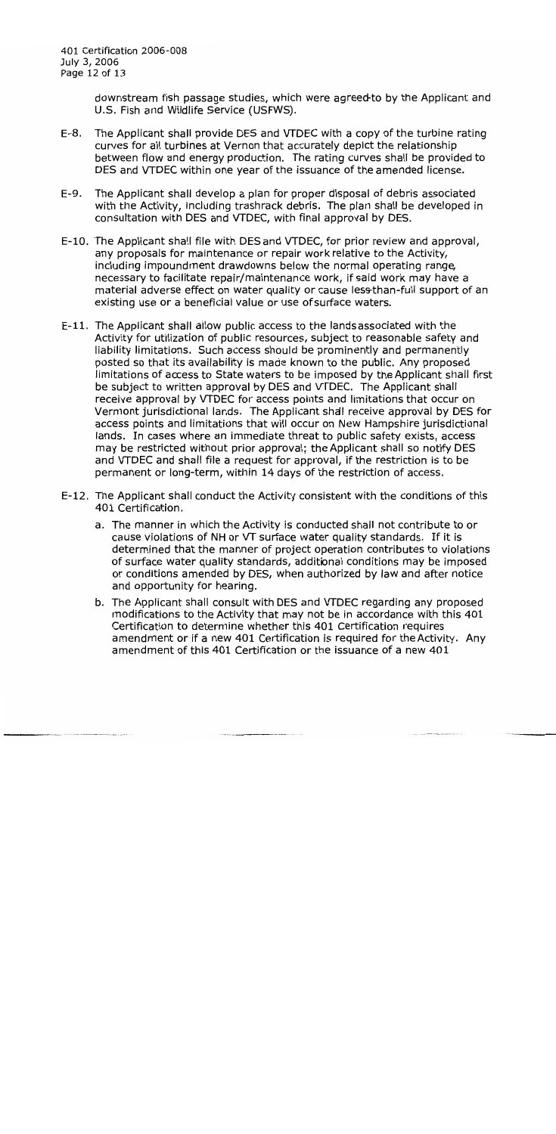downstream fish passage studies, which were agreed to by the Applicant and U.S. Fish and Wildlife Service (USFWS).

- $E-8.$ The Applicant shall provide DES and VTDEC with a copy of the turbine rating curves for all turbines at Vernon that accurately depict the relationship between flow and energy production. The rating curves shall be provided to DES and VTDEC within one year of the issuance of the amended license.
- $E-9.$ The Applicant shall develop a plan for proper disposal of debris associated with the Activity, including trashrack debris. The plan shall be developed in consultation with DES and VTDEC, with final approval by DES.
- E-10. The Applicant shall file with DES and VTDEC, for prior review and approval, any proposals for maintenance or repair work relative to the Activity, including impoundment drawdowns below the normal operating range, necessary to facilitate repair/maintenance work, if said work may have a material adverse effect on water quality or cause less-than-full support of an existing use or a beneficial value or use of surface waters.
- E-11. The Applicant shall allow public access to the lands associated with the Activity for utilization of public resources, subject to reasonable safety and liability limitations. Such access should be prominently and permanently posted so that its availability is made known to the public. Any proposed limitations of access to State waters to be imposed by the Applicant shall first be subject to written approval by DES and VTDEC. The Applicant shall receive approval by VTDEC for access points and limitations that occur on Vermont jurisdictional lands. The Applicant shall receive approval by DES for access points and limitations that will occur on New Hampshire jurisdictional lands. In cases where an immediate threat to public safety exists, access may be restricted without prior approval; the Applicant shall so notify DES and VTDEC and shall file a request for approval, if the restriction is to be permanent or long-term, within 14 days of the restriction of access.
- E-12. The Applicant shall conduct the Activity consistent with the conditions of this 401 Certification.
	- a. The manner in which the Activity is conducted shall not contribute to or cause violations of NH or VT surface water quality standards. If it is determined that the manner of project operation contributes to violations of surface water quality standards, additional conditions may be imposed or conditions amended by DES, when authorized by law and after notice and opportunity for hearing.
	- b. The Applicant shall consult with DES and VTDEC regarding any proposed modifications to the Activity that may not be in accordance with this 401 Certification to determine whether this 401 Certification requires amendment or if a new 401 Certification is required for the Activity. Any amendment of this 401 Certification or the issuance of a new 401